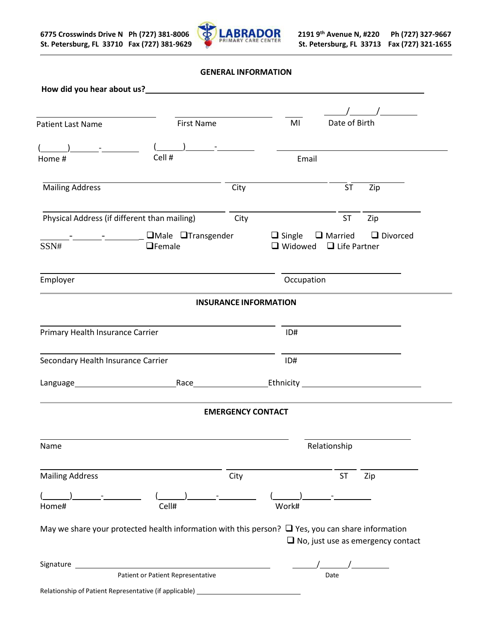

**GENERAL INFORMATION**

|                                                       | How did you hear about us?<br><u>Letting</u> the state of the state of the state of the state of the state of the state of the state of the state of the state of the state of the state of the state of the state of the state of th |                              |                                    |               |                                              |
|-------------------------------------------------------|---------------------------------------------------------------------------------------------------------------------------------------------------------------------------------------------------------------------------------------|------------------------------|------------------------------------|---------------|----------------------------------------------|
|                                                       |                                                                                                                                                                                                                                       |                              |                                    |               | $\sqrt{2}$                                   |
| <b>Patient Last Name</b>                              | <b>First Name</b>                                                                                                                                                                                                                     |                              | MI                                 | Date of Birth |                                              |
| $(\qquad \qquad \underline{\qquad} ) \qquad \qquad -$ | $\begin{array}{ccc} \begin{array}{ccc} \end{array} \end{array}$                                                                                                                                                                       |                              |                                    |               |                                              |
| Home #                                                | Cell #                                                                                                                                                                                                                                |                              | Email                              |               |                                              |
| <b>Mailing Address</b>                                |                                                                                                                                                                                                                                       | City                         |                                    | ST            | Zip                                          |
| Physical Address (if different than mailing)          |                                                                                                                                                                                                                                       | City                         |                                    | <b>ST</b>     | Zip                                          |
| SSN#                                                  | - CMale OTransgender<br>$\Box$ Female                                                                                                                                                                                                 |                              | $\Box$ Widowed $\Box$ Life Partner |               | $\Box$ Single $\Box$ Married $\Box$ Divorced |
| Employer                                              |                                                                                                                                                                                                                                       |                              | Occupation                         |               |                                              |
|                                                       |                                                                                                                                                                                                                                       | <b>INSURANCE INFORMATION</b> |                                    |               |                                              |
| Primary Health Insurance Carrier                      |                                                                                                                                                                                                                                       |                              | ID#                                |               |                                              |
| Secondary Health Insurance Carrier                    |                                                                                                                                                                                                                                       |                              | ID#                                |               |                                              |
|                                                       | Language Race Race Ethnicity Communication Communication                                                                                                                                                                              |                              |                                    |               |                                              |
|                                                       |                                                                                                                                                                                                                                       | <b>EMERGENCY CONTACT</b>     |                                    |               |                                              |
| Name                                                  |                                                                                                                                                                                                                                       |                              |                                    | Relationship  |                                              |
| <b>Mailing Address</b>                                |                                                                                                                                                                                                                                       | City                         |                                    | ST            | Zip                                          |
| Home#                                                 | Cell#                                                                                                                                                                                                                                 |                              | Work#                              |               |                                              |
|                                                       | May we share your protected health information with this person? $\Box$ Yes, you can share information                                                                                                                                |                              |                                    |               | $\Box$ No, just use as emergency contact     |
|                                                       | Signature experience and the state of the state of the state of the state of the state of the state of the state of the state of the state of the state of the state of the state of the state of the state of the state of th        |                              |                                    |               |                                              |
|                                                       | <b>Patient or Patient Representative</b>                                                                                                                                                                                              |                              |                                    | Date          |                                              |
|                                                       | Relationship of Patient Representative (if applicable) _________________________                                                                                                                                                      |                              |                                    |               |                                              |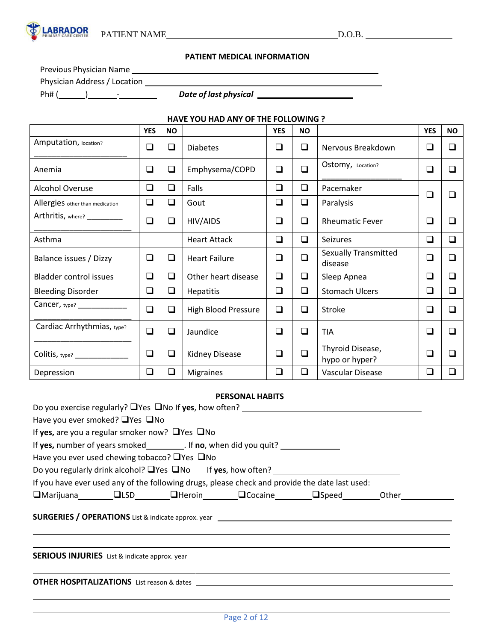

# **PATIENT MEDICAL INFORMATION**

Previous Physician Name

Physician Address / Location

Ph# ( ) - *Date of last physical* 

# **HAVE YOU HAD ANY OF THE FOLLOWING ?**

|                                 | <b>YES</b> | <b>NO</b> |                            | <b>YES</b> | <b>NO</b> |                                        | <b>YES</b> | <b>NO</b> |
|---------------------------------|------------|-----------|----------------------------|------------|-----------|----------------------------------------|------------|-----------|
| Amputation, location?           | ❏          | $\Box$    | <b>Diabetes</b>            | □          | □         | Nervous Breakdown                      | □          | □         |
| Anemia                          | $\Box$     | $\Box$    | Emphysema/COPD             | ❏          | $\Box$    | Ostomy, Location?                      | □          | ◻         |
| <b>Alcohol Overuse</b>          | $\Box$     | $\Box$    | Falls                      | $\Box$     | $\Box$    | Pacemaker                              | $\Box$     | $\Box$    |
| Allergies other than medication | $\Box$     | ❏         | Gout                       | ❏          | ❏         | Paralysis                              |            |           |
| Arthritis, where?               | $\Box$     | $\Box$    | HIV/AIDS                   | ❏          | $\Box$    | <b>Rheumatic Fever</b>                 | ◻          | □         |
| Asthma                          |            |           | <b>Heart Attack</b>        | $\Box$     | $\Box$    | Seizures                               | ❏          | ❏         |
| Balance issues / Dizzy          | $\Box$     | $\Box$    | <b>Heart Failure</b>       | ❏          | $\Box$    | <b>Sexually Transmitted</b><br>disease | ◻          | $\Box$    |
| <b>Bladder control issues</b>   | $\Box$     | ❏         | Other heart disease        | $\Box$     | $\Box$    | Sleep Apnea                            | ❏          | ◻         |
| <b>Bleeding Disorder</b>        | $\Box$     | ❏         | <b>Hepatitis</b>           | ❏          | $\Box$    | <b>Stomach Ulcers</b>                  | ❏          | ◻         |
| Cancer, type?                   | $\Box$     | ❏         | <b>High Blood Pressure</b> | ❏          | ❏         | Stroke                                 | ❏          | $\Box$    |
| Cardiac Arrhythmias, type?      | $\Box$     | ❏         | Jaundice                   | ❏          | ❏         | TIA                                    | ❏          | $\Box$    |
| Colitis, type? _____________    | $\Box$     | ❏         | Kidney Disease             | □          | $\Box$    | Thyroid Disease,<br>hypo or hyper?     | ❏          | □         |
| Depression                      | ❏          | ❏         | <b>Migraines</b>           | ❏          | $\Box$    | Vascular Disease                       | □          | П         |

# **PERSONAL HABITS**

|                                                            |                                                                                   | Do you exercise regularly? UYes UNo If yes, how often? _________________________                                                                                                                                                          |  |
|------------------------------------------------------------|-----------------------------------------------------------------------------------|-------------------------------------------------------------------------------------------------------------------------------------------------------------------------------------------------------------------------------------------|--|
| Have you ever smoked? $\Box$ Yes $\Box$ No                 |                                                                                   |                                                                                                                                                                                                                                           |  |
| If yes, are you a regular smoker now? $\Box$ Yes $\Box$ No |                                                                                   |                                                                                                                                                                                                                                           |  |
|                                                            | If yes, number of years smoked__________. If no, when did you quit? _____________ |                                                                                                                                                                                                                                           |  |
| Have you ever used chewing tobacco? $\Box$ Yes $\Box$ No   |                                                                                   |                                                                                                                                                                                                                                           |  |
|                                                            |                                                                                   | Do you regularly drink alcohol? UYes UNo If yes, how often? [100] November 2010 11: 15: 16: 17: 18: 17: 18: 1                                                                                                                             |  |
|                                                            |                                                                                   | If you have ever used any of the following drugs, please check and provide the date last used:                                                                                                                                            |  |
|                                                            |                                                                                   | □Marijuana □ □LSD □ □Heroin □ □Cocaine □ □Speed     Other                                                                                                                                                                                 |  |
|                                                            |                                                                                   |                                                                                                                                                                                                                                           |  |
|                                                            |                                                                                   |                                                                                                                                                                                                                                           |  |
|                                                            |                                                                                   | <b>OTHER HOSPITALIZATIONS</b> List reason & dates <b>Later List of Allen Control Control Control Control Control Control Control Control Control Control Control Control Control Control Control Control Control Control Control Cont</b> |  |
|                                                            |                                                                                   |                                                                                                                                                                                                                                           |  |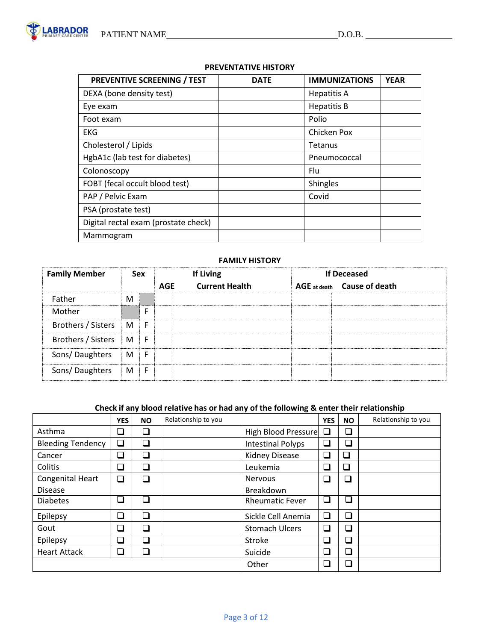# **PREVENTATIVE HISTORY**

| <b>PREVENTIVE SCREENING / TEST</b>   | <b>DATE</b> | <b>IMMUNIZATIONS</b> | <b>YEAR</b> |
|--------------------------------------|-------------|----------------------|-------------|
| DEXA (bone density test)             |             | <b>Hepatitis A</b>   |             |
| Eye exam                             |             | <b>Hepatitis B</b>   |             |
| Foot exam                            |             | Polio                |             |
| <b>EKG</b>                           |             | Chicken Pox          |             |
| Cholesterol / Lipids                 |             | Tetanus              |             |
| HgbA1c (lab test for diabetes)       |             | Pneumococcal         |             |
| Colonoscopy                          |             | Flu                  |             |
| FOBT (fecal occult blood test)       |             | Shingles             |             |
| PAP / Pelvic Exam                    |             | Covid                |             |
| PSA (prostate test)                  |             |                      |             |
| Digital rectal exam (prostate check) |             |                      |             |
| Mammogram                            |             |                      |             |

# **FAMILY HISTORY**

| <b>Family Member</b> |   | <b>Sex</b> |            | <b>If Living</b>      | <b>If Deceased</b>          |
|----------------------|---|------------|------------|-----------------------|-----------------------------|
|                      |   |            | <b>AGE</b> | <b>Current Health</b> | AGE at death Cause of death |
| Father               | M |            |            |                       |                             |
| Mother               |   | F          |            |                       |                             |
| Brothers / Sisters   | M | F          |            |                       |                             |
| Brothers / Sisters   | M | F          |            |                       |                             |
| Sons/Daughters       | M | F          |            |                       |                             |
| Sons/Daughters       | M | -F         |            |                       |                             |

# **Check if any blood relative has or had any of the following & enter their relationship**

|                          | <b>YES</b>               | <b>NO</b> | Relationship to you |                          | <b>YES</b>               | <b>NO</b>                | Relationship to you |
|--------------------------|--------------------------|-----------|---------------------|--------------------------|--------------------------|--------------------------|---------------------|
| Asthma                   | ❏                        |           |                     | High Blood Pressure      | ❏                        | ❏                        |                     |
| <b>Bleeding Tendency</b> | $\Box$                   | ❏         |                     | <b>Intestinal Polyps</b> | $\overline{\phantom{a}}$ | $\Box$                   |                     |
| Cancer                   | $\overline{\phantom{a}}$ |           |                     | <b>Kidney Disease</b>    | $\Box$                   | ❏                        |                     |
| Colitis                  | $\overline{\phantom{a}}$ | └         |                     | Leukemia                 | $\overline{\phantom{a}}$ | ❏                        |                     |
| Congenital Heart         | $\Box$                   | П         |                     | <b>Nervous</b>           | ⊐                        | $\Box$                   |                     |
| <b>Disease</b>           |                          |           |                     | Breakdown                |                          |                          |                     |
| <b>Diabetes</b>          | ⊐                        | П         |                     | <b>Rheumatic Fever</b>   | $\Box$                   | $\overline{\phantom{a}}$ |                     |
| Epilepsy                 | □                        | □         |                     | Sickle Cell Anemia       | ┘                        | $\Box$                   |                     |
| Gout                     | ⊐                        | $\Box$    |                     | <b>Stomach Ulcers</b>    | $\Box$                   | ❏                        |                     |
| Epilepsy                 | $\Box$                   |           |                     | Stroke                   | $\overline{\phantom{a}}$ | $\Box$                   |                     |
| <b>Heart Attack</b>      | ❏                        | $\Box$    |                     | Suicide                  | $\overline{\phantom{a}}$ | $\Box$                   |                     |
|                          |                          |           |                     | Other                    | $\overline{\phantom{a}}$ | $\Box$                   |                     |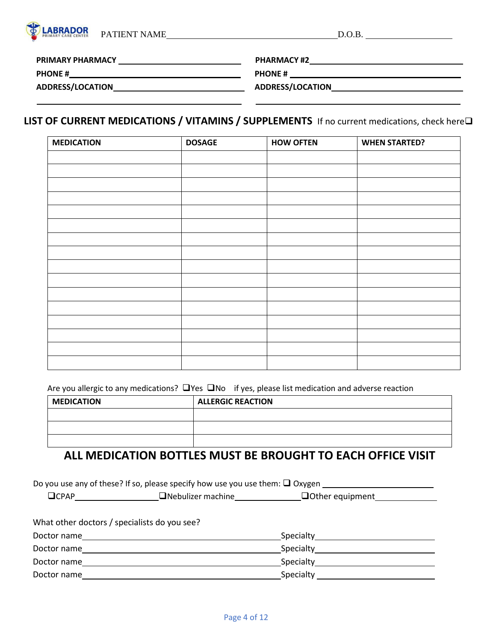| PATIENT NAME<br>D.O.B. |  |
|------------------------|--|

**PRIMARY PHARMACY** 

**PHARMACY #2**

**PHONE # PHONE #** 

**ADDRESS/LOCATION**

**ABRADOR** 

**ADDRESS/LOCATION**

# **LIST OF CURRENT MEDICATIONS / VITAMINS / SUPPLEMENTS** If no current medications, check here❑

| <b>MEDICATION</b> | <b>DOSAGE</b> | <b>HOW OFTEN</b> | <b>WHEN STARTED?</b> |
|-------------------|---------------|------------------|----------------------|
|                   |               |                  |                      |
|                   |               |                  |                      |
|                   |               |                  |                      |
|                   |               |                  |                      |
|                   |               |                  |                      |
|                   |               |                  |                      |
|                   |               |                  |                      |
|                   |               |                  |                      |
|                   |               |                  |                      |
|                   |               |                  |                      |
|                   |               |                  |                      |
|                   |               |                  |                      |
|                   |               |                  |                      |
|                   |               |                  |                      |
|                   |               |                  |                      |
|                   |               |                  |                      |

Are you allergic to any medications?  $□Yes □No$  if yes, please list medication and adverse reaction

| <b>MEDICATION</b> | <b>ALLERGIC REACTION</b> |
|-------------------|--------------------------|
|                   |                          |
|                   |                          |
|                   |                          |

# **ALL MEDICATION BOTTLES MUST BE BROUGHT TO EACH OFFICE VISIT**

| What other doctors / specialists do you see? |  |                            |  |  |  |  |
|----------------------------------------------|--|----------------------------|--|--|--|--|
| Doctor name                                  |  | Specialty <b>Specialty</b> |  |  |  |  |
| Doctor name                                  |  | Specialty                  |  |  |  |  |
| Doctor name                                  |  | Specialty                  |  |  |  |  |
| Doctor name                                  |  | Specialty Specialty        |  |  |  |  |
|                                              |  |                            |  |  |  |  |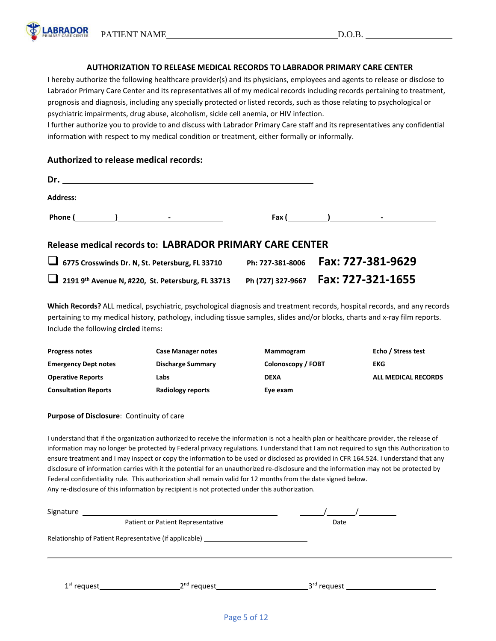PATIENT NAME D.O.B.

**ABRADOR** 

# **AUTHORIZATION TO RELEASE MEDICAL RECORDS TO LABRADOR PRIMARY CARE CENTER**

I hereby authorize the following healthcare provider(s) and its physicians, employees and agents to release or disclose to Labrador Primary Care Center and its representatives all of my medical records including records pertaining to treatment, prognosis and diagnosis, including any specially protected or listed records, such as those relating to psychological or psychiatric impairments, drug abuse, alcoholism, sickle cell anemia, or HIV infection.

I further authorize you to provide to and discuss with Labrador Primary Care staff and its representatives any confidential information with respect to my medical condition or treatment, either formally or informally.

# **Authorized to release medical records:**

| Dr.<br><u> 1989 - Johann Stoff, deutscher Stoff, der Stoff, der Stoff, der Stoff, der Stoff, der Stoff, der Stoff, der S</u> |   |                                         |
|------------------------------------------------------------------------------------------------------------------------------|---|-----------------------------------------|
|                                                                                                                              |   |                                         |
|                                                                                                                              |   | $\mathsf{Fax}$ ( ) and $\mathsf{Fax}$ ( |
| Release medical records to: LABRADOR PRIMARY CARE CENTER                                                                     |   |                                         |
|                                                                                                                              | - |                                         |

| 6775 Crosswinds Dr. N, St. Petersburg, FL 33710               | Ph: 727-381-8006  | Fax: 727-381-9629 |
|---------------------------------------------------------------|-------------------|-------------------|
| 2191 9 <sup>th</sup> Avenue N, #220, St. Petersburg, FL 33713 | Ph (727) 327-9667 | Fax: 727-321-1655 |

**Which Records?** ALL medical, psychiatric, psychological diagnosis and treatment records, hospital records, and any records pertaining to my medical history, pathology, including tissue samples, slides and/or blocks, charts and x-ray film reports. Include the following **circled** items:

| <b>Progress notes</b>       | <b>Case Manager notes</b> | Mammogram          | Echo / Stress test  |
|-----------------------------|---------------------------|--------------------|---------------------|
| <b>Emergency Dept notes</b> | <b>Discharge Summary</b>  | Colonoscopy / FOBT | EKG                 |
| <b>Operative Reports</b>    | Labs                      | <b>DEXA</b>        | ALL MEDICAL RECORDS |
| <b>Consultation Reports</b> | Radiology reports         | Eye exam           |                     |

# **Purpose of Disclosure**: Continuity of care

I understand that if the organization authorized to receive the information is not a health plan or healthcare provider, the release of information may no longer be protected by Federal privacy regulations. I understand that I am not required to sign this Authorization to ensure treatment and I may inspect or copy the information to be used or disclosed as provided in CFR 164.524. I understand that any disclosure of information carries with it the potential for an unauthorized re-disclosure and the information may not be protected by Federal confidentiality rule. This authorization shall remain valid for 12 months from the date signed below. Any re-disclosure of this information by recipient is not protected under this authorization.

| Signature                         |                                                                                  |                         |  |  |
|-----------------------------------|----------------------------------------------------------------------------------|-------------------------|--|--|
| Patient or Patient Representative |                                                                                  | Date                    |  |  |
|                                   | Relationship of Patient Representative (if applicable) _________________________ |                         |  |  |
| $1st$ request                     | _2 <sup>nd</sup> request_                                                        | 3 <sup>rd</sup> request |  |  |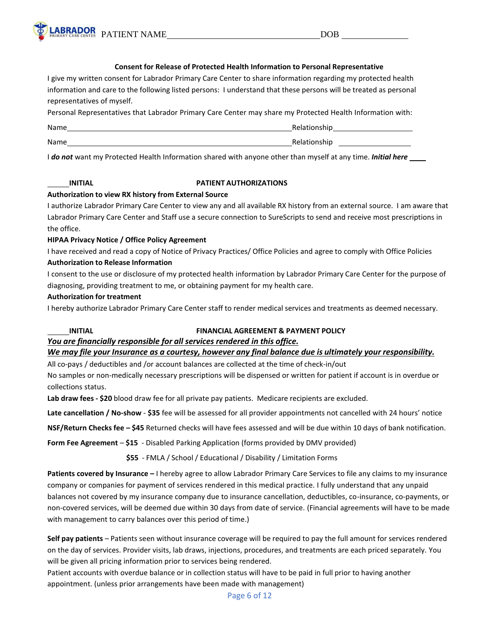

#### **Consent for Release of Protected Health Information to Personal Representative**

I give my written consent for Labrador Primary Care Center to share information regarding my protected health information and care to the following listed persons: I understand that these persons will be treated as personal representatives of myself.

Personal Representatives that Labrador Primary Care Center may share my Protected Health Information with:

| Name | Relationship |
|------|--------------|
| Name | Relationship |

I *do not* want my Protected Health Information shared with anyone other than myself at any time. *Initial here*

### **INITIAL PATIENT AUTHORIZATIONS**

### **Authorization to view RX history from External Source**

I authorize Labrador Primary Care Center to view any and all available RX history from an external source. I am aware that Labrador Primary Care Center and Staff use a secure connection to SureScripts to send and receive most prescriptions in the office.

### **HIPAA Privacy Notice / Office Policy Agreement**

I have received and read a copy of Notice of Privacy Practices/ Office Policies and agree to comply with Office Policies **Authorization to Release Information**

I consent to the use or disclosure of my protected health information by Labrador Primary Care Center for the purpose of diagnosing, providing treatment to me, or obtaining payment for my health care.

### **Authorization for treatment**

I hereby authorize Labrador Primary Care Center staff to render medical services and treatments as deemed necessary.

# **INITIAL FINANCIAL AGREEMENT & PAYMENT POLICY**

# *You are financially responsible for all services rendered in this office.*

#### We may file your Insurance as a courtesy, however any final balance due is ultimately your responsibility.

All co-pays / deductibles and /or account balances are collected at the time of check-in/out

No samples or non-medically necessary prescriptions will be dispensed or written for patient if account is in overdue or collections status.

**Lab draw fees - \$20** blood draw fee for all private pay patients. Medicare recipients are excluded.

**Late cancellation / No-show** - **\$35** fee will be assessed for all provider appointments not cancelled with 24 hours' notice

**NSF/Return Checks fee – \$45** Returned checks will have fees assessed and will be due within 10 days of bank notification.

**Form Fee Agreement** – **\$15** - Disabled Parking Application (forms provided by DMV provided)

**\$55** - FMLA / School / Educational / Disability / Limitation Forms

**Patients covered by Insurance –** I hereby agree to allow Labrador Primary Care Services to file any claims to my insurance company or companies for payment of services rendered in this medical practice. I fully understand that any unpaid balances not covered by my insurance company due to insurance cancellation, deductibles, co-insurance, co-payments, or non-covered services, will be deemed due within 30 days from date of service. (Financial agreements will have to be made with management to carry balances over this period of time.)

**Self pay patients** – Patients seen without insurance coverage will be required to pay the full amount for services rendered on the day of services. Provider visits, lab draws, injections, procedures, and treatments are each priced separately. You will be given all pricing information prior to services being rendered.

Patient accounts with overdue balance or in collection status will have to be paid in full prior to having another appointment. (unless prior arrangements have been made with management)

Page 6 of 12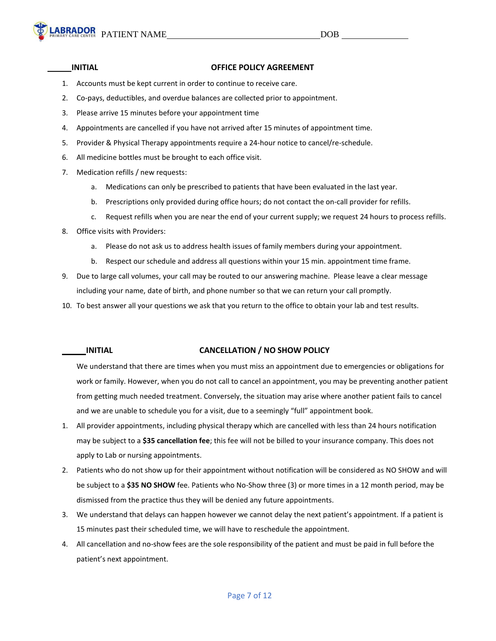#### **INITIAL OFFICE POLICY AGREEMENT**

- 1. Accounts must be kept current in order to continue to receive care.
- 2. Co-pays, deductibles, and overdue balances are collected prior to appointment.
- 3. Please arrive 15 minutes before your appointment time
- 4. Appointments are cancelled if you have not arrived after 15 minutes of appointment time.
- 5. Provider & Physical Therapy appointments require a 24-hour notice to cancel/re-schedule.
- 6. All medicine bottles must be brought to each office visit.
- 7. Medication refills / new requests:
	- a. Medications can only be prescribed to patients that have been evaluated in the last year.
	- b. Prescriptions only provided during office hours; do not contact the on-call provider for refills.
	- c. Request refills when you are near the end of your current supply; we request 24 hours to process refills.
- 8. Office visits with Providers:
	- a. Please do not ask us to address health issues of family members during your appointment.
	- b. Respect our schedule and address all questions within your 15 min. appointment time frame.
- 9. Due to large call volumes, your call may be routed to our answering machine. Please leave a clear message including your name, date of birth, and phone number so that we can return your call promptly.
- 10. To best answer all your questions we ask that you return to the office to obtain your lab and test results.

# **INITIAL CANCELLATION / NO SHOW POLICY**

We understand that there are times when you must miss an appointment due to emergencies or obligations for work or family. However, when you do not call to cancel an appointment, you may be preventing another patient from getting much needed treatment. Conversely, the situation may arise where another patient fails to cancel and we are unable to schedule you for a visit, due to a seemingly "full" appointment book.

- 1. All provider appointments, including physical therapy which are cancelled with less than 24 hours notification may be subject to a **\$35 cancellation fee**; this fee will not be billed to your insurance company. This does not apply to Lab or nursing appointments.
- 2. Patients who do not show up for their appointment without notification will be considered as NO SHOW and will be subject to a **\$35 NO SHOW** fee. Patients who No-Show three (3) or more times in a 12 month period, may be dismissed from the practice thus they will be denied any future appointments.
- 3. We understand that delays can happen however we cannot delay the next patient's appointment. If a patient is 15 minutes past their scheduled time, we will have to reschedule the appointment.
- 4. All cancellation and no-show fees are the sole responsibility of the patient and must be paid in full before the patient's next appointment.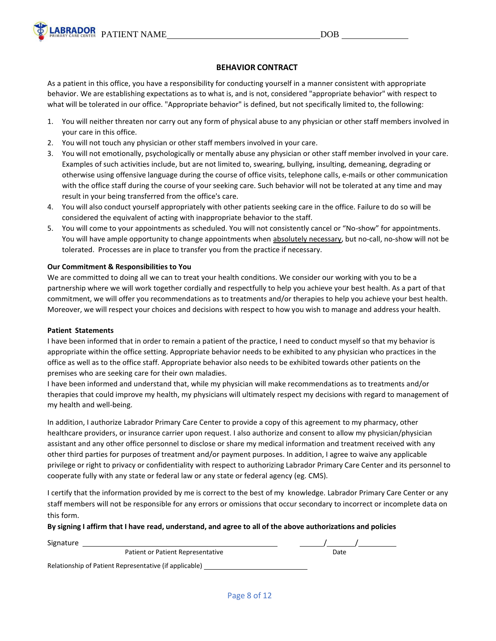

# **BEHAVIOR CONTRACT**

As a patient in this office, you have a responsibility for conducting yourself in a manner consistent with appropriate behavior. We are establishing expectations as to what is, and is not, considered "appropriate behavior" with respect to what will be tolerated in our office. "Appropriate behavior" is defined, but not specifically limited to, the following:

- 1. You will neither threaten nor carry out any form of physical abuse to any physician or other staff members involved in your care in this office.
- 2. You will not touch any physician or other staff members involved in your care.
- 3. You will not emotionally, psychologically or mentally abuse any physician or other staff member involved in your care. Examples of such activities include, but are not limited to, swearing, bullying, insulting, demeaning, degrading or otherwise using offensive language during the course of office visits, telephone calls, e-mails or other communication with the office staff during the course of your seeking care. Such behavior will not be tolerated at any time and may result in your being transferred from the office's care.
- 4. You will also conduct yourself appropriately with other patients seeking care in the office. Failure to do so will be considered the equivalent of acting with inappropriate behavior to the staff.
- 5. You will come to your appointments as scheduled. You will not consistently cancel or "No-show" for appointments. You will have ample opportunity to change appointments when absolutely necessary, but no-call, no-show will not be tolerated. Processes are in place to transfer you from the practice if necessary.

### **Our Commitment & Responsibilities to You**

We are committed to doing all we can to treat your health conditions. We consider our working with you to be a partnership where we will work together cordially and respectfully to help you achieve your best health. As a part of that commitment, we will offer you recommendations as to treatments and/or therapies to help you achieve your best health. Moreover, we will respect your choices and decisions with respect to how you wish to manage and address your health.

#### **Patient Statements**

I have been informed that in order to remain a patient of the practice, I need to conduct myself so that my behavior is appropriate within the office setting. Appropriate behavior needs to be exhibited to any physician who practices in the office as well as to the office staff. Appropriate behavior also needs to be exhibited towards other patients on the premises who are seeking care for their own maladies.

I have been informed and understand that, while my physician will make recommendations as to treatments and/or therapies that could improve my health, my physicians will ultimately respect my decisions with regard to management of my health and well-being.

In addition, I authorize Labrador Primary Care Center to provide a copy of this agreement to my pharmacy, other healthcare providers, or insurance carrier upon request. I also authorize and consent to allow my physician/physician assistant and any other office personnel to disclose or share my medical information and treatment received with any other third parties for purposes of treatment and/or payment purposes. In addition, I agree to waive any applicable privilege or right to privacy or confidentiality with respect to authorizing Labrador Primary Care Center and its personnel to cooperate fully with any state or federal law or any state or federal agency (eg. CMS).

I certify that the information provided by me is correct to the best of my knowledge. Labrador Primary Care Center or any staff members will not be responsible for any errors or omissions that occur secondary to incorrect or incomplete data on this form.

# By signing I affirm that I have read, understand, and agree to all of the above authorizations and policies

| Signature                                              |      |  |
|--------------------------------------------------------|------|--|
| Patient or Patient Representative                      | Date |  |
| Relationship of Patient Representative (if applicable) |      |  |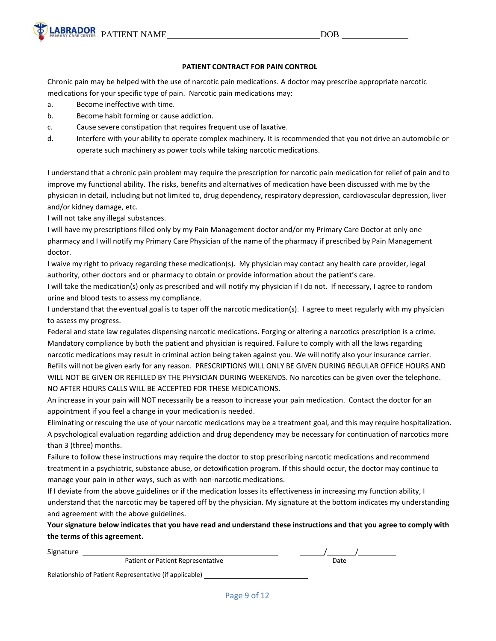

# **PATIENT CONTRACT FOR PAIN CONTROL**

Chronic pain may be helped with the use of narcotic pain medications. A doctor may prescribe appropriate narcotic medications for your specific type of pain. Narcotic pain medications may:

- a. Become ineffective with time.
- b. Become habit forming or cause addiction.
- c. Cause severe constipation that requires frequent use of laxative.
- d. Interfere with your ability to operate complex machinery. It is recommended that you not drive an automobile or operate such machinery as power tools while taking narcotic medications.

I understand that a chronic pain problem may require the prescription for narcotic pain medication for relief of pain and to improve my functional ability. The risks, benefits and alternatives of medication have been discussed with me by the physician in detail, including but not limited to, drug dependency, respiratory depression, cardiovascular depression, liver and/or kidney damage, etc.

I will not take any illegal substances.

I will have my prescriptions filled only by my Pain Management doctor and/or my Primary Care Doctor at only one pharmacy and I will notify my Primary Care Physician of the name of the pharmacy if prescribed by Pain Management doctor.

I waive my right to privacy regarding these medication(s). My physician may contact any health care provider, legal authority, other doctors and or pharmacy to obtain or provide information about the patient's care.

I will take the medication(s) only as prescribed and will notify my physician if I do not. If necessary, I agree to random urine and blood tests to assess my compliance.

I understand that the eventual goal is to taper off the narcotic medication(s). I agree to meet regularly with my physician to assess my progress.

Federal and state law regulates dispensing narcotic medications. Forging or altering a narcotics prescription is a crime. Mandatory compliance by both the patient and physician is required. Failure to comply with all the laws regarding narcotic medications may result in criminal action being taken against you. We will notify also your insurance carrier. Refills will not be given early for any reason. PRESCRIPTIONS WILL ONLY BE GIVEN DURING REGULAR OFFICE HOURS AND WILL NOT BE GIVEN OR REFILLED BY THE PHYSICIAN DURING WEEKENDS. No narcotics can be given over the telephone. NO AFTER HOURS CALLS WILL BE ACCEPTED FOR THESE MEDICATIONS.

An increase in your pain will NOT necessarily be a reason to increase your pain medication. Contact the doctor for an appointment if you feel a change in your medication is needed.

Eliminating or rescuing the use of your narcotic medications may be a treatment goal, and this may require hospitalization. A psychological evaluation regarding addiction and drug dependency may be necessary for continuation of narcotics more than 3 (three) months.

Failure to follow these instructions may require the doctor to stop prescribing narcotic medications and recommend treatment in a psychiatric, substance abuse, or detoxification program. If this should occur, the doctor may continue to manage your pain in other ways, such as with non-narcotic medications.

If I deviate from the above guidelines or if the medication losses its effectiveness in increasing my function ability, I understand that the narcotic may be tapered off by the physician. My signature at the bottom indicates my understanding and agreement with the above guidelines.

Your signature below indicates that you have read and understand these instructions and that you agree to comply with **the terms of this agreement.**

| Signature                                              |      |
|--------------------------------------------------------|------|
| Patient or Patient Representative                      | Date |
| Relationship of Patient Representative (if applicable) |      |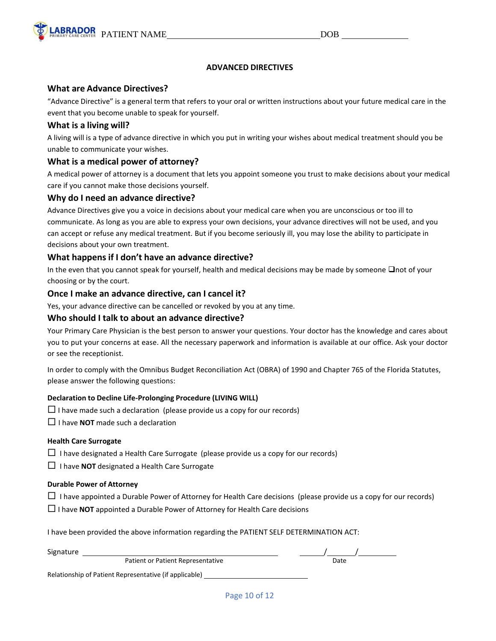

# **ADVANCED DIRECTIVES**

# **What are Advance Directives?**

"Advance Directive" is a general term that refers to your oral or written instructions about your future medical care in the event that you become unable to speak for yourself.

# **What is a living will?**

A living will is a type of advance directive in which you put in writing your wishes about medical treatment should you be unable to communicate your wishes.

# **What is a medical power of attorney?**

A medical power of attorney is a document that lets you appoint someone you trust to make decisions about your medical care if you cannot make those decisions yourself.

# **Why do I need an advance directive?**

Advance Directives give you a voice in decisions about your medical care when you are unconscious or too ill to communicate. As long as you are able to express your own decisions, your advance directives will not be used, and you can accept or refuse any medical treatment. But if you become seriously ill, you may lose the ability to participate in decisions about your own treatment.

# **What happens if I don't have an advance directive?**

In the even that you cannot speak for yourself, health and medical decisions may be made by someone ❑not of your choosing or by the court.

# **Once I make an advance directive, can I cancel it?**

Yes, your advance directive can be cancelled or revoked by you at any time.

# **Who should I talk to about an advance directive?**

Your Primary Care Physician is the best person to answer your questions. Your doctor has the knowledge and cares about you to put your concerns at ease. All the necessary paperwork and information is available at our office. Ask your doctor or see the receptionist.

In order to comply with the Omnibus Budget Reconciliation Act (OBRA) of 1990 and Chapter 765 of the Florida Statutes, please answer the following questions:

# **Declaration to Decline Life-Prolonging Procedure (LIVING WILL)**

- $\Box$  I have made such a declaration (please provide us a copy for our records)
- $\Box$  I have **NOT** made such a declaration

# **Health Care Surrogate**

 $\Box$  I have designated a Health Care Surrogate (please provide us a copy for our records)

 $\Box$  I have **NOT** designated a Health Care Surrogate

#### **Durable Power of Attorney**

- $\Box$  I have appointed a Durable Power of Attorney for Health Care decisions (please provide us a copy for our records)
- $\Box$  I have **NOT** appointed a Durable Power of Attorney for Health Care decisions

I have been provided the above information regarding the PATIENT SELF DETERMINATION ACT:

| Signature |                                                        |      |
|-----------|--------------------------------------------------------|------|
|           | Patient or Patient Representative                      | Date |
|           | Relationship of Patient Representative (if applicable) |      |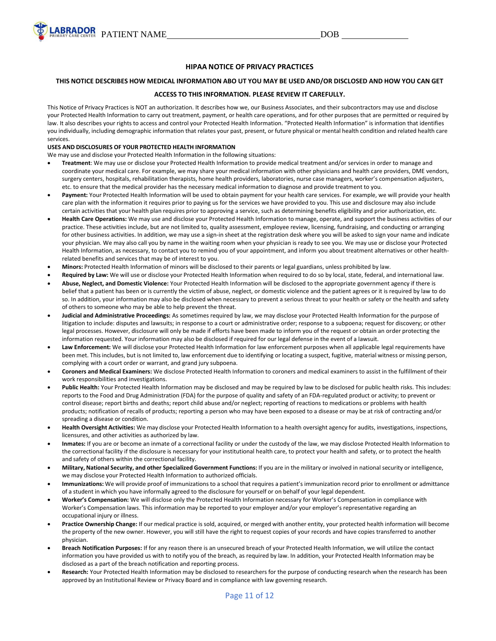

#### **HIPAA NOTICE OF PRIVACY PRACTICES**

#### THIS NOTICE DESCRIBES HOW MEDICAL INFORMATION ABO UT YOU MAY BE USED AND/OR DISCLOSED AND HOW YOU CAN GET

#### **ACCESS TO THIS INFORMATION. PLEASE REVIEW IT CAREFULLY.**

This Notice of Privacy Practices is NOT an authorization. It describes how we, our Business Associates, and their subcontractors may use and disclose your Protected Health Information to carry out treatment, payment, or health care operations, and for other purposes that are permitted or required by law. It also describes your rights to access and control your Protected Health Information. "Protected Health Information" is information that identifies you individually, including demographic information that relates your past, present, or future physical or mental health condition and related health care services.

#### **USES AND DISCLOSURES OF YOUR PROTECTED HEALTH INFORMATION**

We may use and disclose your Protected Health Information in the following situations:

- **Treatment**: We may use or disclose your Protected Health Information to provide medical treatment and/or services in order to manage and coordinate your medical care. For example, we may share your medical information with other physicians and health care providers, DME vendors, surgery centers, hospitals, rehabilitation therapists, home health providers, laboratories, nurse case managers, worker's compensation adjusters, etc. to ensure that the medical provider has the necessary medical information to diagnose and provide treatment to you.
- **Payment:** Your Protected Health Information will be used to obtain payment for your health care services. For example, we will provide your health care plan with the information it requires prior to paying us for the services we have provided to you. This use and disclosure may also include certain activities that your health plan requires prior to approving a service, such as determining benefits eligibility and prior authorization, etc.
- **Health Care Operations:** We may use and disclose your Protected Health Information to manage, operate, and support the business activities of our practice. These activities include, but are not limited to, quality assessment, employee review, licensing, fundraising, and conducting or arranging for other business activities. In addition, we may use a sign-in sheet at the registration desk where you will be asked to sign your name and indicate your physician. We may also call you by name in the waiting room when your physician is ready to see you. We may use or disclose your Protected Health Information, as necessary, to contact you to remind you of your appointment, and inform you about treatment alternatives or other healthrelated benefits and services that may be of interest to you.
- **Minors:** Protected Health Information of minors will be disclosed to their parents or legal guardians, unless prohibited by law.
- **Required by Law:** We will use or disclose your Protected Health Information when required to do so by local, state, federal, and international law.
- **Abuse, Neglect, and Domestic Violence:** Your Protected Health Information will be disclosed to the appropriate government agency if there is belief that a patient has been or is currently the victim of abuse, neglect, or domestic violence and the patient agrees or it is required by law to do so. In addition, your information may also be disclosed when necessary to prevent a serious threat to your health or safety or the health and safety of others to someone who may be able to help prevent the threat.
- **Judicial and Administrative Proceedings:** As sometimes required by law, we may disclose your Protected Health Information for the purpose of litigation to include: disputes and lawsuits; in response to a court or administrative order; response to a subpoena; request for discovery; or other legal processes. However, disclosure will only be made if efforts have been made to inform you of the request or obtain an order protecting the information requested. Your information may also be disclosed if required for our legal defense in the event of a lawsuit.
- Law Enforcement: We will disclose your Protected Health Information for law enforcement purposes when all applicable legal requirements have been met. This includes, but is not limited to, law enforcement due to identifying or locating a suspect, fugitive, material witness or missing person, complying with a court order or warrant, and grand jury subpoena.
- **Coroners and Medical Examiners:** We disclose Protected Health Information to coroners and medical examiners to assist in the fulfillment of their work responsibilities and investigations.
- **Public Health:** Your Protected Health Information may be disclosed and may be required by law to be disclosed for public health risks. This includes: reports to the Food and Drug Administration (FDA) for the purpose of quality and safety of an FDA-regulated product or activity; to prevent or control disease; report births and deaths; report child abuse and/or neglect; reporting of reactions to medications or problems with health products; notification of recalls of products; reporting a person who may have been exposed to a disease or may be at risk of contracting and/or spreading a disease or condition.
- **Health Oversight Activities:** We may disclose your Protected Health Information to a health oversight agency for audits, investigations, inspections, licensures, and other activities as authorized by law.
- **Inmates:** If you are or become an inmate of a correctional facility or under the custody of the law, we may disclose Protected Health Information to the correctional facility if the disclosure is necessary for your institutional health care, to protect your health and safety, or to protect the health and safety of others within the correctional facility.
- **Military, National Security, and other Specialized Government Functions:** If you are in the military or involved in national security or intelligence, we may disclose your Protected Health Information to authorized officials.
- **Immunizations:** We will provide proof of immunizations to a school that requires a patient's immunization record prior to enrollment or admittance of a student in which you have informally agreed to the disclosure for yourself or on behalf of your legal dependent.
- **Worker's Compensation:** We will disclose only the Protected Health Information necessary for Worker's Compensation in compliance with Worker's Compensation laws. This information may be reported to your employer and/or your employer's representative regarding an occupational injury or illness.
- **Practice Ownership Change:** If our medical practice is sold, acquired, or merged with another entity, your protected health information will become the property of the new owner. However, you will still have the right to request copies of your records and have copies transferred to another physician.
- **Breach Notification Purposes:** If for any reason there is an unsecured breach of your Protected Health Information, we will utilize the contact information you have provided us with to notify you of the breach, as required by law. In addition, your Protected Health Information may be disclosed as a part of the breach notification and reporting process.
- **Research:** Your Protected Health Information may be disclosed to researchers for the purpose of conducting research when the research has been approved by an Institutional Review or Privacy Board and in compliance with law governing research.